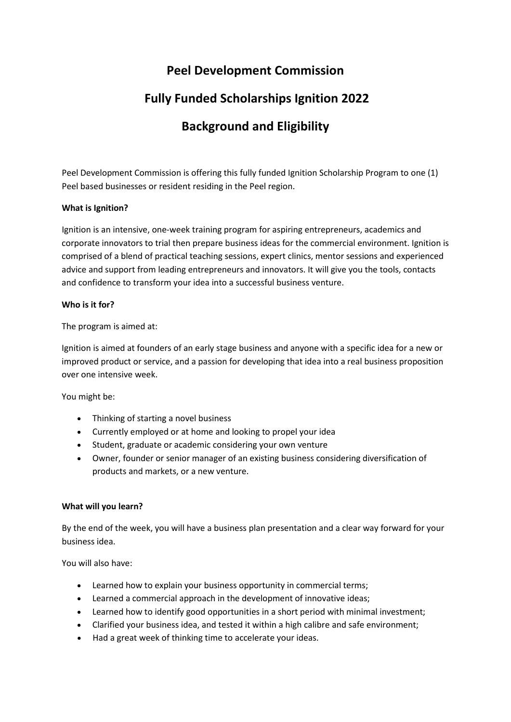# **Peel Development Commission**

# **Fully Funded Scholarships Ignition 2022**

# **Background and Eligibility**

Peel Development Commission is offering this fully funded Ignition Scholarship Program to one (1) Peel based businesses or resident residing in the Peel region.

## **What is Ignition?**

Ignition is an intensive, one-week training program for aspiring entrepreneurs, academics and corporate innovators to trial then prepare business ideas for the commercial environment. Ignition is comprised of a blend of practical teaching sessions, expert clinics, mentor sessions and experienced advice and support from leading entrepreneurs and innovators. It will give you the tools, contacts and confidence to transform your idea into a successful business venture.

## **Who is it for?**

The program is aimed at:

Ignition is aimed at founders of an early stage business and anyone with a specific idea for a new or improved product or service, and a passion for developing that idea into a real business proposition over one intensive week.

You might be:

- Thinking of starting a novel business
- Currently employed or at home and looking to propel your idea
- Student, graduate or academic considering your own venture
- Owner, founder or senior manager of an existing business considering diversification of products and markets, or a new venture.

## **What will you learn?**

By the end of the week, you will have a business plan presentation and a clear way forward for your business idea.

You will also have:

- Learned how to explain your business opportunity in commercial terms;
- Learned a commercial approach in the development of innovative ideas;
- Learned how to identify good opportunities in a short period with minimal investment;
- Clarified your business idea, and tested it within a high calibre and safe environment;
- Had a great week of thinking time to accelerate your ideas.